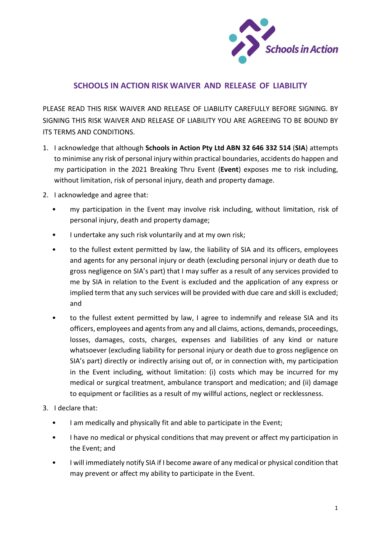

## SCHOOLS IN ACTION RISK WAIVER AND RELEASE OF LIABILITY

PLEASE READ THIS RISK WAIVER AND RELEASE OF LIABILITY CAREFULLY BEFORE SIGNING. BY SIGNING THIS RISK WAIVER AND RELEASE OF LIABILITY YOU ARE AGREEING TO BE BOUND BY ITS TERMS AND CONDITIONS.

- 1. I acknowledge that although Schools in Action Pty Ltd ABN 32 646 332 514 (SIA) attempts to minimise any risk of personal injury within practical boundaries, accidents do happen and my participation in the 2021 Breaking Thru Event (Event) exposes me to risk including, without limitation, risk of personal injury, death and property damage.
- 2. I acknowledge and agree that:
	- my participation in the Event may involve risk including, without limitation, risk of personal injury, death and property damage;
	- I undertake any such risk voluntarily and at my own risk;
	- to the fullest extent permitted by law, the liability of SIA and its officers, employees and agents for any personal injury or death (excluding personal injury or death due to gross negligence on SIA's part) that I may suffer as a result of any services provided to me by SIA in relation to the Event is excluded and the application of any express or implied term that any such services will be provided with due care and skill is excluded; and
	- to the fullest extent permitted by law, I agree to indemnify and release SIA and its officers, employees and agents from any and all claims, actions, demands, proceedings, losses, damages, costs, charges, expenses and liabilities of any kind or nature whatsoever (excluding liability for personal injury or death due to gross negligence on SIA's part) directly or indirectly arising out of, or in connection with, my participation in the Event including, without limitation: (i) costs which may be incurred for my medical or surgical treatment, ambulance transport and medication; and (ii) damage to equipment or facilities as a result of my willful actions, neglect or recklessness.
- 3. I declare that:
	- I am medically and physically fit and able to participate in the Event;
	- I have no medical or physical conditions that may prevent or affect my participation in the Event; and
	- I will immediately notify SIA if I become aware of any medical or physical condition that may prevent or affect my ability to participate in the Event.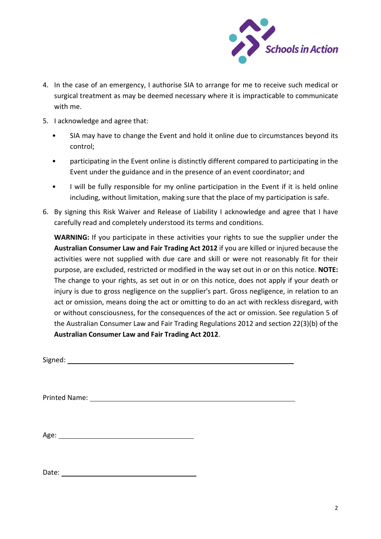

- 4. In the case of an emergency, I authorise SIA to arrange for me to receive such medical or surgical treatment as may be deemed necessary where it is impracticable to communicate with me.
- 5. I acknowledge and agree that:
	- SIA may have to change the Event and hold it online due to circumstances beyond its control;
	- participating in the Event online is distinctly different compared to participating in the Event under the guidance and in the presence of an event coordinator; and
	- I will be fully responsible for my online participation in the Event if it is held online including, without limitation, making sure that the place of my participation is safe.
- 6. By signing this Risk Waiver and Release of Liability I acknowledge and agree that I have carefully read and completely understood its terms and conditions.

WARNING: If you participate in these activities your rights to sue the supplier under the Australian Consumer Law and Fair Trading Act 2012 if you are killed or injured because the activities were not supplied with due care and skill or were not reasonably fit for their purpose, are excluded, restricted or modified in the way set out in or on this notice. NOTE: The change to your rights, as set out in or on this notice, does not apply if your death or injury is due to gross negligence on the supplier's part. Gross negligence, in relation to an act or omission, means doing the act or omitting to do an act with reckless disregard, with or without consciousness, for the consequences of the act or omission. See regulation 5 of the Australian Consumer Law and Fair Trading Regulations 2012 and section 22(3)(b) of the Australian Consumer Law and Fair Trading Act 2012.

| Signed: |
|---------|
|---------|

Printed Name:

Age: No. 2020 September 2020 September 2020 September 2020 September 2020 September 2020 September 2020 September 2020 September 2020 September 2020 September 2020 September 2020 September 2020 September 2020 September 202

Date: when the contract of the contract of the contract of the contract of the contract of the contract of the contract of the contract of the contract of the contract of the contract of the contract of the contract of the